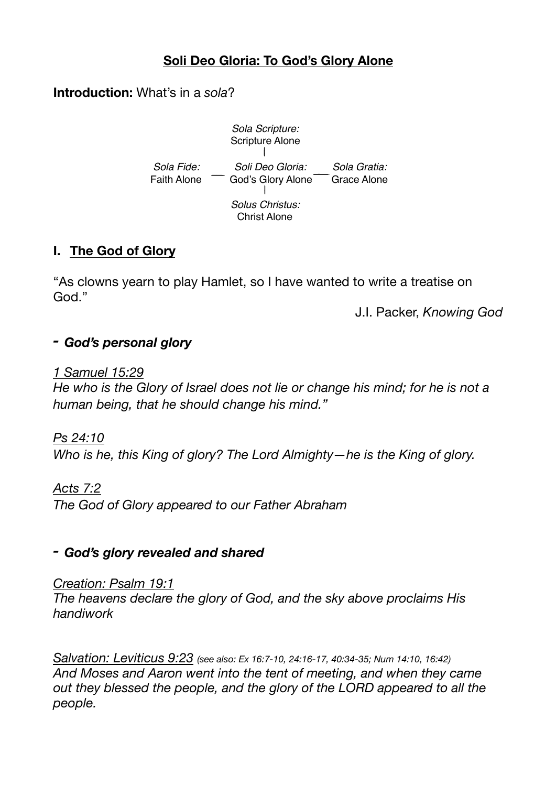# **Soli Deo Gloria: To God's Glory Alone**

#### **Introduction:** What's in a *sola*?



### **I. The God of Glory**

"As clowns yearn to play Hamlet, so I have wanted to write a treatise on God."

J.I. Packer, *Knowing God* 

### *- God's personal glory*

#### *1 Samuel 15:29*

*He who is the Glory of Israel does not lie or change his mind; for he is not a human being, that he should change his mind."*

### *Ps 24:10*

*Who is he, this King of glory? The Lord Almighty—he is the King of glory.*

### *Acts 7:2*

*The God of Glory appeared to our Father Abraham* 

### *- God's glory revealed and shared*

#### *Creation: Psalm 19:1*

*The heavens declare the glory of God, and the sky above proclaims His handiwork* 

*Salvation: Leviticus 9:23 (see also: Ex 16:7-10, 24:16-17, 40:34-35; Num 14:10, 16:42) And Moses and Aaron went into the tent of meeting, and when they came out they blessed the people, and the glory of the LORD appeared to all the people.*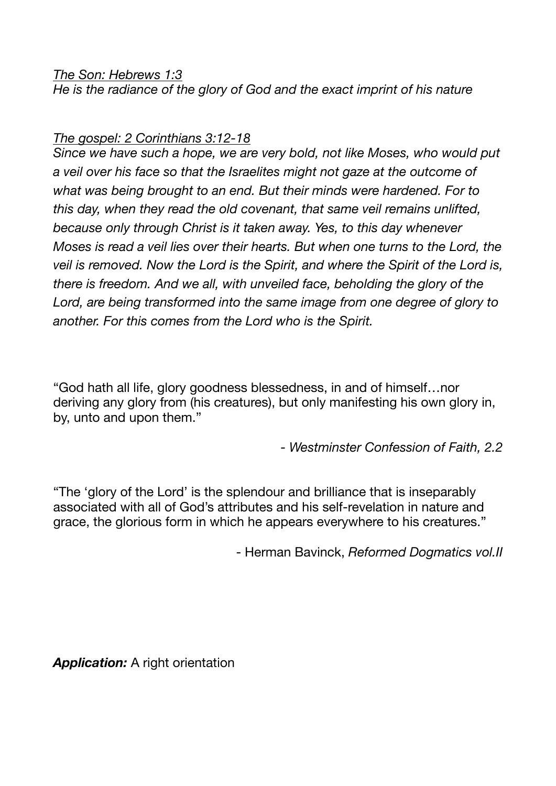### *The Son: Hebrews 1:3*

*He is the radiance of the glory of God and the exact imprint of his nature*

#### *The gospel: 2 Corinthians 3:12-18*

*Since we have such a hope, we are very bold, not like Moses, who would put a veil over his face so that the Israelites might not gaze at the outcome of what was being brought to an end. But their minds were hardened. For to this day, when they read the old covenant, that same veil remains unlifted, because only through Christ is it taken away. Yes, to this day whenever Moses is read a veil lies over their hearts. But when one turns to the Lord, the veil is removed. Now the Lord is the Spirit, and where the Spirit of the Lord is, there is freedom. And we all, with unveiled face, beholding the glory of the*  Lord, are being transformed into the same image from one degree of glory to *another. For this comes from the Lord who is the Spirit.*

"God hath all life, glory goodness blessedness, in and of himself…nor deriving any glory from (his creatures), but only manifesting his own glory in, by, unto and upon them."

*- Westminster Confession of Faith, 2.2* 

"The 'glory of the Lord' is the splendour and brilliance that is inseparably associated with all of God's attributes and his self-revelation in nature and grace, the glorious form in which he appears everywhere to his creatures."

- Herman Bavinck, *Reformed Dogmatics vol.II*

**Application:** A right orientation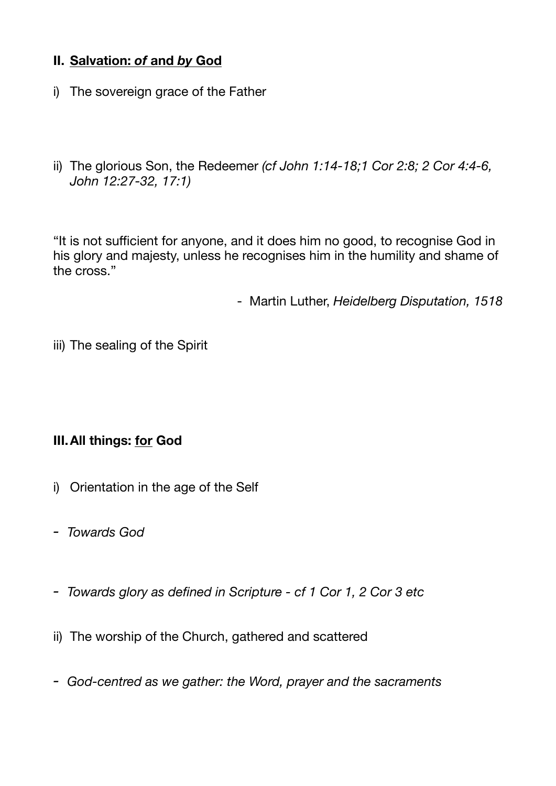# **II. Salvation:** *of* **and** *by* **God**

- i) The sovereign grace of the Father
- ii) The glorious Son, the Redeemer *(cf John 1:14-18;1 Cor 2:8; 2 Cor 4:4-6, John 12:27-32, 17:1)*

"It is not sufficient for anyone, and it does him no good, to recognise God in his glory and majesty, unless he recognises him in the humility and shame of the cross."

- Martin Luther, *Heidelberg Disputation, 1518* 

iii) The sealing of the Spirit

# **III.All things: for God**

- i) Orientation in the age of the Self
- *- Towards God*
- *- Towards glory as defined in Scripture cf 1 Cor 1, 2 Cor 3 etc*
- ii) The worship of the Church, gathered and scattered
- *- God-centred as we gather: the Word, prayer and the sacraments*